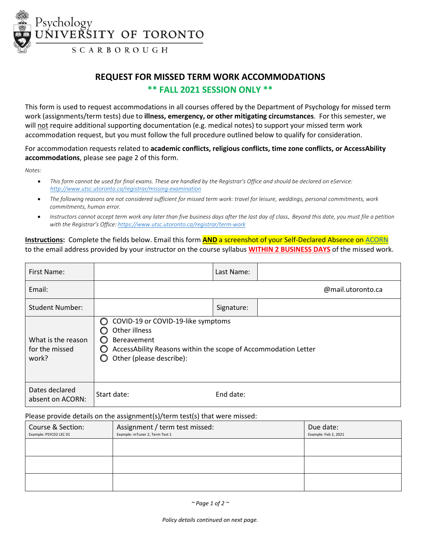

# **REQUEST FOR MISSED TERM WORK ACCOMMODATIONS \*\* FALL 2021 SESSION ONLY \*\***

This form is used to request accommodations in all courses offered by the Department of Psychology for missed term work (assignments/term tests) due to **illness, emergency, or other mitigating circumstances**. For this semester, we will not require additional supporting documentation (e.g. medical notes) to support your missed term work accommodation request, but you must follow the full procedure outlined below to qualify for consideration.

For accommodation requests related to **academic conflicts, religious conflicts, time zone conflicts, or AccessAbility accommodations**, please see page 2 of this form.

*Notes:*

- *This form cannot be used for final exams. These are handled by the Registrar's Office and should be declared on eService: <http://www.utsc.utoronto.ca/registrar/missing-examination>*
- *The following reasons are not considered sufficient for missed term work: travel for leisure, weddings, personal commitments, work commitments, human error.*
- *Instructors cannot accept term work any later than five business days after the last day of class*. *Beyond this date, you must file a petition with the Registrar's Office[: https://www.utsc.utoronto.ca/registrar/term-work](https://www.utsc.utoronto.ca/registrar/term-work)*

**Instructions:** Complete the fields below. Email this form **AND** a screenshot of your Self-Declared Absence on [ACORN](https://www.utsc.utoronto.ca/registrar/acorn-absence-declaration-tool) to the email address provided by your instructor on the course syllabus **WITHIN 2 BUSINESS DAYS** of the missed work.

| First Name:                                   |                                                                                                                                                                       | Last Name: |                   |  |
|-----------------------------------------------|-----------------------------------------------------------------------------------------------------------------------------------------------------------------------|------------|-------------------|--|
| Email:                                        |                                                                                                                                                                       |            | @mail.utoronto.ca |  |
| <b>Student Number:</b>                        |                                                                                                                                                                       | Signature: |                   |  |
| What is the reason<br>for the missed<br>work? | COVID-19 or COVID-19-like symptoms<br>∩<br>Other illness<br>Bereavement<br>AccessAbility Reasons within the scope of Accommodation Letter<br>Other (please describe): |            |                   |  |
| Dates declared<br>absent on ACORN:            | Start date:                                                                                                                                                           | End date:  |                   |  |

## Please provide details on the assignment(s)/term test(s) that were missed:

| Course & Section:<br>Example: PSYC02 LEC 01 | Assignment / term test missed:<br>Example: mTuner 2, Term Test 1 | Due date:<br>Example: Feb 2, 2021 |
|---------------------------------------------|------------------------------------------------------------------|-----------------------------------|
|                                             |                                                                  |                                   |
|                                             |                                                                  |                                   |
|                                             |                                                                  |                                   |